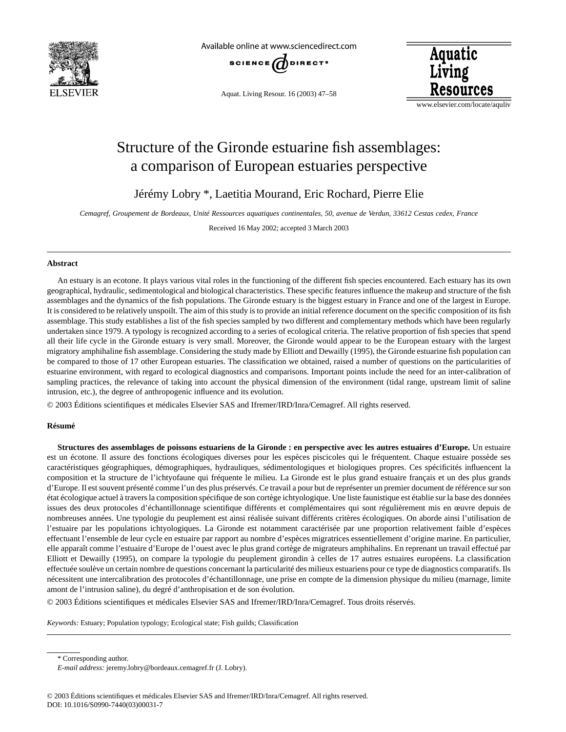

Available online at www.sciencedirect.com



Aquat. Living Resour. 16 (2003) 47–58



www.elsevier.com/locate/aquliv

# Structure of the Gironde estuarine fish assemblages: a comparison of European estuaries perspective

Jérémy Lobry \*, Laetitia Mourand, Eric Rochard, Pierre Elie

*Cemagref, Groupement de Bordeaux, Unité Ressources aquatiques continentales, 50, avenue de Verdun, 33612 Cestas cedex, France*

Received 16 May 2002; accepted 3 March 2003

# **Abstract**

An estuary is an ecotone. It plays various vital roles in the functioning of the different fish species encountered. Each estuary has its own geographical, hydraulic, sedimentological and biological characteristics. These specific features influence the makeup and structure of the fish assemblages and the dynamics of the fish populations. The Gironde estuary is the biggest estuary in France and one of the largest in Europe. It is considered to be relatively unspoilt. The aim of this study is to provide an initial reference document on the specific composition of its fish assemblage. This study establishes a list of the fish species sampled by two different and complementary methods which have been regularly undertaken since 1979. A typology is recognized according to a series of ecological criteria. The relative proportion of fish species that spend all their life cycle in the Gironde estuary is very small. Moreover, the Gironde would appear to be the European estuary with the largest migratory amphihaline fish assemblage. Considering the study made by Elliott and Dewailly (1995), the Gironde estuarine fish population can be compared to those of 17 other European estuaries. The classification we obtained, raised a number of questions on the particularities of estuarine environment, with regard to ecological diagnostics and comparisons. Important points include the need for an inter-calibration of sampling practices, the relevance of taking into account the physical dimension of the environment (tidal range, upstream limit of saline intrusion, etc.), the degree of anthropogenic influence and its evolution.

© 2003 Éditions scientifiques et médicales Elsevier SAS and Ifremer/IRD/Inra/Cemagref. All rights reserved.

# **Résumé**

**Structures des assemblages de poissons estuariens de la Gironde : en perspective avec les autres estuaires d'Europe.** Un estuaire est un écotone. Il assure des fonctions écologiques diverses pour les espèces piscicoles qui le fréquentent. Chaque estuaire possède ses caractéristiques géographiques, démographiques, hydrauliques, sédimentologiques et biologiques propres. Ces spécificités influencent la composition et la structure de l'ichtyofaune qui fréquente le milieu. La Gironde est le plus grand estuaire français et un des plus grands d'Europe. Il est souvent présenté comme l'un des plus préservés. Ce travail a pour but de représenter un premier document de référence sur son état écologique actuel à travers la composition spécifique de son cortège ichtyologique. Une liste faunistique est établie sur la base des données issues des deux protocoles d'échantillonnage scientifique différents et complémentaires qui sont régulièrement mis en œuvre depuis de nombreuses années. Une typologie du peuplement est ainsi réalisée suivant différents critères écologiques. On aborde ainsi l'utilisation de l'estuaire par les populations ichtyologiques. La Gironde est notamment caractérisée par une proportion relativement faible d'espèces effectuant l'ensemble de leur cycle en estuaire par rapport au nombre d'espèces migratrices essentiellement d'origine marine. En particulier, elle apparaît comme l'estuaire d'Europe de l'ouest avec le plus grand cortège de migrateurs amphihalins. En reprenant un travail effectué par Elliott et Dewailly (1995), on compare la typologie du peuplement girondin à celles de 17 autres estuaires européens. La classification effectuée soulève un certain nombre de questions concernant la particularité des milieux estuariens pour ce type de diagnostics comparatifs. Ils nécessitent une intercalibration des protocoles d'échantillonnage, une prise en compte de la dimension physique du milieu (marnage, limite amont de l'intrusion saline), du degré d'anthropisation et de son évolution.

© 2003 Éditions scientifiques et médicales Elsevier SAS and Ifremer/IRD/Inra/Cemagref. Tous droits réservés.

*Keywords:* Estuary; Population typology; Ecological state; Fish guilds; Classification

\* Corresponding author.

*E-mail address:* jeremy.lobry@bordeaux.cemagref.fr (J. Lobry).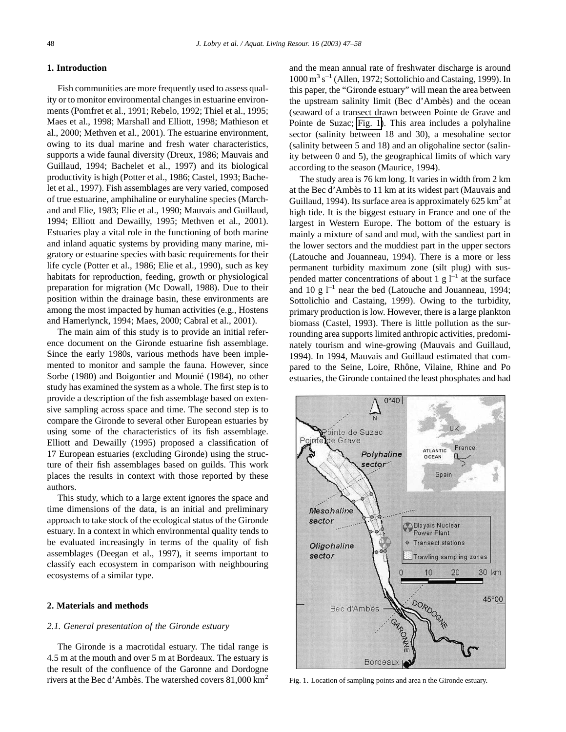#### <span id="page-1-0"></span>**1. Introduction**

Fish communities are more frequently used to assess quality or to monitor environmental changes in estuarine environments (Pomfret et al., 1991; Rebelo, 1992; Thiel et al., 1995; Maes et al., 1998; Marshall and Elliott, 1998; Mathieson et al., 2000; Methven et al., 2001). The estuarine environment, owing to its dual marine and fresh water characteristics, supports a wide faunal diversity (Dreux, 1986; Mauvais and Guillaud, 1994; Bachelet et al., 1997) and its biological productivity is high (Potter et al., 1986; Castel, 1993; Bachelet et al., 1997). Fish assemblages are very varied, composed of true estuarine, amphihaline or euryhaline species (Marchand and Elie, 1983; Elie et al., 1990; Mauvais and Guillaud, 1994; Elliott and Dewailly, 1995; Methven et al., 2001). Estuaries play a vital role in the functioning of both marine and inland aquatic systems by providing many marine, migratory or estuarine species with basic requirements for their life cycle (Potter et al., 1986; Elie et al., 1990), such as key habitats for reproduction, feeding, growth or physiological preparation for migration (Mc Dowall, 1988). Due to their position within the drainage basin, these environments are among the most impacted by human activities (e.g., Hostens and Hamerlynck, 1994; Maes, 2000; Cabral et al., 2001).

The main aim of this study is to provide an initial reference document on the Gironde estuarine fish assemblage. Since the early 1980s, various methods have been implemented to monitor and sample the fauna. However, since Sorbe (1980) and Boigontier and Mounié (1984), no other study has examined the system as a whole. The first step is to provide a description of the fish assemblage based on extensive sampling across space and time. The second step is to compare the Gironde to several other European estuaries by using some of the characteristics of its fish assemblage. Elliott and Dewailly (1995) proposed a classification of 17 European estuaries (excluding Gironde) using the structure of their fish assemblages based on guilds. This work places the results in context with those reported by these authors.

This study, which to a large extent ignores the space and time dimensions of the data, is an initial and preliminary approach to take stock of the ecological status of the Gironde estuary. In a context in which environmental quality tends to be evaluated increasingly in terms of the quality of fish assemblages (Deegan et al., 1997), it seems important to classify each ecosystem in comparison with neighbouring ecosystems of a similar type.

## **2. Materials and methods**

#### *2.1. General presentation of the Gironde estuary*

The Gironde is a macrotidal estuary. The tidal range is 4.5 m at the mouth and over 5 m at Bordeaux. The estuary is the result of the confluence of the Garonne and Dordogne rivers at the Bec d'Ambès. The watershed covers 81,000 km<sup>2</sup> and the mean annual rate of freshwater discharge is around  $1000 \text{ m}^3 \text{ s}^{-1}$  (Allen, 1972; Sottolichio and Castaing, 1999). In this paper, the "Gironde estuary" will mean the area between the upstream salinity limit (Bec d'Ambès) and the ocean (seaward of a transect drawn between Pointe de Grave and Pointe de Suzac; Fig. 1). This area includes a polyhaline sector (salinity between 18 and 30), a mesohaline sector (salinity between 5 and 18) and an oligohaline sector (salinity between 0 and 5), the geographical limits of which vary according to the season (Maurice, 1994).

The study area is 76 km long. It varies in width from 2 km at the Bec d'Ambès to 11 km at its widest part (Mauvais and Guillaud, 1994). Its surface area is approximately  $625 \text{ km}^2$  at high tide. It is the biggest estuary in France and one of the largest in Western Europe. The bottom of the estuary is mainly a mixture of sand and mud, with the sandiest part in the lower sectors and the muddiest part in the upper sectors (Latouche and Jouanneau, 1994). There is a more or less permanent turbidity maximum zone (silt plug) with suspended matter concentrations of about 1 g  $1^{-1}$  at the surface and 10 g  $l^{-1}$  near the bed (Latouche and Jouanneau, 1994; Sottolichio and Castaing, 1999). Owing to the turbidity, primary production is low. However, there is a large plankton biomass (Castel, 1993). There is little pollution as the surrounding area supports limited anthropic activities, predominately tourism and wine-growing (Mauvais and Guillaud, 1994). In 1994, Mauvais and Guillaud estimated that compared to the Seine, Loire, Rhône, Vilaine, Rhine and Po estuaries, the Gironde contained the least phosphates and had



Fig. 1. Location of sampling points and area n the Gironde estuary.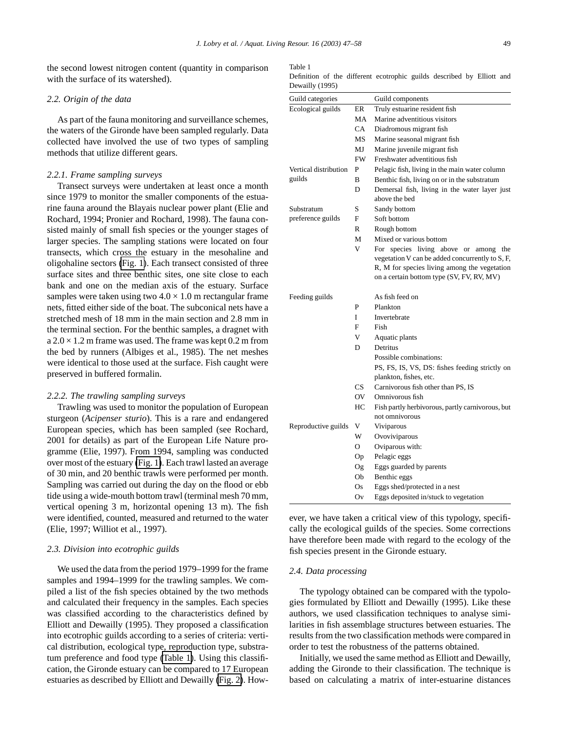<span id="page-2-0"></span>the second lowest nitrogen content (quantity in comparison with the surface of its watershed).

### *2.2. Origin of the data*

As part of the fauna monitoring and surveillance schemes, the waters of the Gironde have been sampled regularly. Data collected have involved the use of two types of sampling methods that utilize different gears.

#### *2.2.1. Frame sampling surveys*

Transect surveys were undertaken at least once a month since 1979 to monitor the smaller components of the estuarine fauna around the Blayais nuclear power plant (Elie and Rochard, 1994; Pronier and Rochard, 1998). The fauna consisted mainly of small fish species or the younger stages of larger species. The sampling stations were located on four transects, which cross the estuary in the mesohaline and oligohaline sectors [\(Fig. 1\)](#page-1-0). Each transect consisted of three surface sites and three benthic sites, one site close to each bank and one on the median axis of the estuary. Surface samples were taken using two  $4.0 \times 1.0$  m rectangular frame nets, fitted either side of the boat. The subconical nets have a stretched mesh of 18 mm in the main section and 2.8 mm in the terminal section. For the benthic samples, a dragnet with  $a 2.0 \times 1.2$  m frame was used. The frame was kept 0.2 m from the bed by runners (Albiges et al., 1985). The net meshes were identical to those used at the surface. Fish caught were preserved in buffered formalin.

## *2.2.2. The trawling sampling surveys*

Trawling was used to monitor the population of European sturgeon (*Acipenser sturio*). This is a rare and endangered European species, which has been sampled (see Rochard, 2001 for details) as part of the European Life Nature programme (Elie, 1997). From 1994, sampling was conducted over most of the estuary [\(Fig. 1\)](#page-1-0). Each trawl lasted an average of 30 min, and 20 benthic trawls were performed per month. Sampling was carried out during the day on the flood or ebb tide using a wide-mouth bottom trawl (terminal mesh 70 mm, vertical opening 3 m, horizontal opening 13 m). The fish were identified, counted, measured and returned to the water (Elie, 1997; Williot et al., 1997).

#### *2.3. Division into ecotrophic guilds*

We used the data from the period 1979–1999 for the frame samples and 1994–1999 for the trawling samples. We compiled a list of the fish species obtained by the two methods and calculated their frequency in the samples. Each species was classified according to the characteristics defined by Elliott and Dewailly (1995). They proposed a classification into ecotrophic guilds according to a series of criteria: vertical distribution, ecological type, reproduction type, substratum preference and food type (Table 1). Using this classification, the Gironde estuary can be compared to 17 European estuaries as described by Elliott and Dewailly [\(Fig. 2\)](#page-3-0). How-

#### Table 1

Definition of the different ecotrophic guilds described by Elliott and Dewailly (1995)

| Guild categories      |           | Guild components                                               |  |  |  |  |  |  |
|-----------------------|-----------|----------------------------------------------------------------|--|--|--|--|--|--|
| Ecological guilds     | ER.       | Truly estuarine resident fish                                  |  |  |  |  |  |  |
|                       | MA        | Marine adventitious visitors                                   |  |  |  |  |  |  |
|                       | CA        | Diadromous migrant fish                                        |  |  |  |  |  |  |
|                       | MS        | Marine seasonal migrant fish                                   |  |  |  |  |  |  |
|                       | MJ        | Marine juvenile migrant fish                                   |  |  |  |  |  |  |
|                       | <b>FW</b> | Freshwater adventitious fish                                   |  |  |  |  |  |  |
| Vertical distribution | P         | Pelagic fish, living in the main water column                  |  |  |  |  |  |  |
| guilds                | B         | Benthic fish, living on or in the substratum                   |  |  |  |  |  |  |
|                       | D         | Demersal fish, living in the water layer just<br>above the bed |  |  |  |  |  |  |
| Substratum            | S         | Sandy bottom                                                   |  |  |  |  |  |  |
| preference guilds     | F         | Soft bottom                                                    |  |  |  |  |  |  |
|                       | R         | Rough bottom                                                   |  |  |  |  |  |  |
|                       | M         | Mixed or various bottom                                        |  |  |  |  |  |  |
|                       | V         | species living above or<br>For<br>among<br>the                 |  |  |  |  |  |  |
|                       |           | vegetation V can be added concurrently to S, F,                |  |  |  |  |  |  |
|                       |           | R, M for species living among the vegetation                   |  |  |  |  |  |  |
|                       |           | on a certain bottom type (SV, FV, RV, MV)                      |  |  |  |  |  |  |
| Feeding guilds        |           | As fish feed on                                                |  |  |  |  |  |  |
|                       | P         | Plankton                                                       |  |  |  |  |  |  |
|                       | I         | Invertebrate                                                   |  |  |  |  |  |  |
|                       | F         | Fish                                                           |  |  |  |  |  |  |
|                       | V         | Aquatic plants                                                 |  |  |  |  |  |  |
|                       | D         | Detritus                                                       |  |  |  |  |  |  |
|                       |           | Possible combinations:                                         |  |  |  |  |  |  |
|                       |           | PS, FS, IS, VS, DS: fishes feeding strictly on                 |  |  |  |  |  |  |
|                       |           | plankton, fishes, etc.                                         |  |  |  |  |  |  |
|                       | CS.       | Carnivorous fish other than PS, IS                             |  |  |  |  |  |  |
|                       | OV        | Omnivorous fish                                                |  |  |  |  |  |  |
|                       | HС        | Fish partly herbivorous, partly carnivorous, but               |  |  |  |  |  |  |
|                       |           | not omnivorous                                                 |  |  |  |  |  |  |
| Reproductive guilds   | V         | Viviparous                                                     |  |  |  |  |  |  |
|                       | W         | Ovoviviparous                                                  |  |  |  |  |  |  |
|                       | О         | Oviparous with:                                                |  |  |  |  |  |  |
|                       | Op        | Pelagic eggs                                                   |  |  |  |  |  |  |
|                       | Og        | Eggs guarded by parents                                        |  |  |  |  |  |  |
|                       | Ob        | Benthic eggs                                                   |  |  |  |  |  |  |
|                       | Os        | Eggs shed/protected in a nest                                  |  |  |  |  |  |  |
|                       | Ov        | Eggs deposited in/stuck to vegetation                          |  |  |  |  |  |  |

ever, we have taken a critical view of this typology, specifically the ecological guilds of the species. Some corrections have therefore been made with regard to the ecology of the fish species present in the Gironde estuary.

## *2.4. Data processing*

The typology obtained can be compared with the typologies formulated by Elliott and Dewailly (1995). Like these authors, we used classification techniques to analyse similarities in fish assemblage structures between estuaries. The results from the two classification methods were compared in order to test the robustness of the patterns obtained.

Initially, we used the same method as Elliott and Dewailly, adding the Gironde to their classification. The technique is based on calculating a matrix of inter-estuarine distances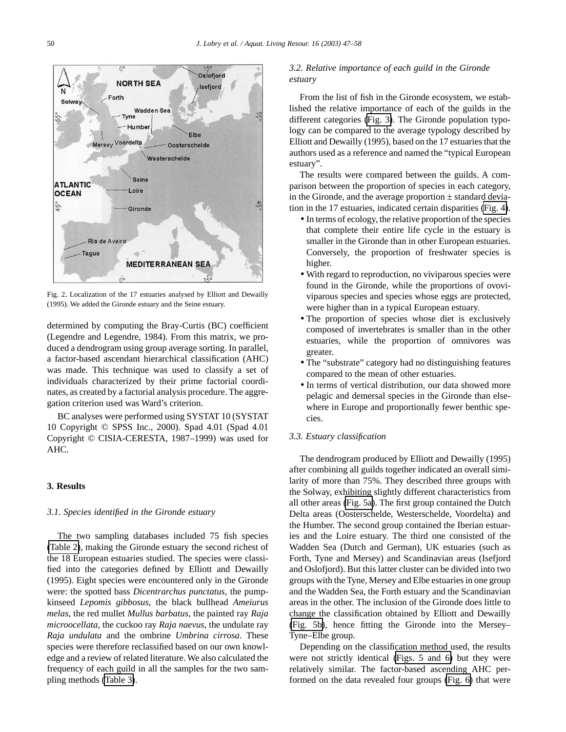<span id="page-3-0"></span>

Fig. 2. Localization of the 17 estuaries analysed by Elliott and Dewailly (1995). We added the Gironde estuary and the Seine estuary.

determined by computing the Bray-Curtis (BC) coefficient (Legendre and Legendre, 1984). From this matrix, we produced a dendrogram using group average sorting. In parallel, a factor-based ascendant hierarchical classification (AHC) was made. This technique was used to classify a set of individuals characterized by their prime factorial coordinates, as created by a factorial analysis procedure. The aggregation criterion used was Ward's criterion.

BC analyses were performed using SYSTAT 10 (SYSTAT 10 Copyright © SPSS Inc., 2000). Spad 4.01 (Spad 4.01 Copyright © CISIA-CERESTA, 1987–1999) was used for AHC.

# **3. Results**

# *3.1. Species identified in the Gironde estuary*

The two sampling databases included 75 fish species [\(Table 2\)](#page-4-0), making the Gironde estuary the second richest of the 18 European estuaries studied. The species were classified into the categories defined by Elliott and Dewailly (1995). Eight species were encountered only in the Gironde were: the spotted bass *Dicentrarchus punctatus*, the pumpkinseed *Lepomis gibbosus*, the black bullhead *Ameiurus melas*, the red mullet *Mullus barbatus*, the painted ray *Raja microocellata*, the cuckoo ray *Raja naevus*, the undulate ray *Raja undulata* and the ombrine *Umbrina cirrosa*. These species were therefore reclassified based on our own knowledge and a review of related literature. We also calculated the frequency of each guild in all the samples for the two sampling methods [\(Table 3\)](#page-5-0).

# *3.2. Relative importance of each guild in the Gironde estuary*

From the list of fish in the Gironde ecosystem, we established the relative importance of each of the guilds in the different categories [\(Fig. 3\)](#page-6-0). The Gironde population typology can be compared to the average typology described by Elliott and Dewailly (1995), based on the 17 estuaries that the authors used as a reference and named the "typical European estuary".

The results were compared between the guilds. A comparison between the proportion of species in each category, in the Gironde, and the average proportion  $\pm$  standard deviation in the 17 estuaries, indicated certain disparities [\(Fig. 4\)](#page-6-0).

- In terms of ecology, the relative proportion of the species that complete their entire life cycle in the estuary is smaller in the Gironde than in other European estuaries. Conversely, the proportion of freshwater species is higher.
- With regard to reproduction, no viviparous species were found in the Gironde, while the proportions of ovoviviparous species and species whose eggs are protected, were higher than in a typical European estuary.
- The proportion of species whose diet is exclusively composed of invertebrates is smaller than in the other estuaries, while the proportion of omnivores was greater.
- The "substrate" category had no distinguishing features compared to the mean of other estuaries.
- In terms of vertical distribution, our data showed more pelagic and demersal species in the Gironde than elsewhere in Europe and proportionally fewer benthic species.

# *3.3. Estuary classification*

The dendrogram produced by Elliott and Dewailly (1995) after combining all guilds together indicated an overall similarity of more than 75%. They described three groups with the Solway, exhibiting slightly different characteristics from all other areas [\(Fig. 5a\)](#page-6-0). The first group contained the Dutch Delta areas (Oosterschelde, Westerschelde, Voordelta) and the Humber. The second group contained the Iberian estuaries and the Loire estuary. The third one consisted of the Wadden Sea (Dutch and German), UK estuaries (such as Forth, Tyne and Mersey) and Scandinavian areas (Isefjord and Oslofjord). But this latter cluster can be divided into two groups with the Tyne, Mersey and Elbe estuaries in one group and the Wadden Sea, the Forth estuary and the Scandinavian areas in the other. The inclusion of the Gironde does little to change the classification obtained by Elliott and Dewailly [\(Fig. 5b\)](#page-6-0), hence fitting the Gironde into the Mersey– Tyne–Elbe group.

Depending on the classification method used, the results were not strictly identical [\(Figs. 5 and 6\)](#page-6-0) but they were relatively similar. The factor-based ascending AHC performed on the data revealed four groups [\(Fig. 6\)](#page-7-0) that were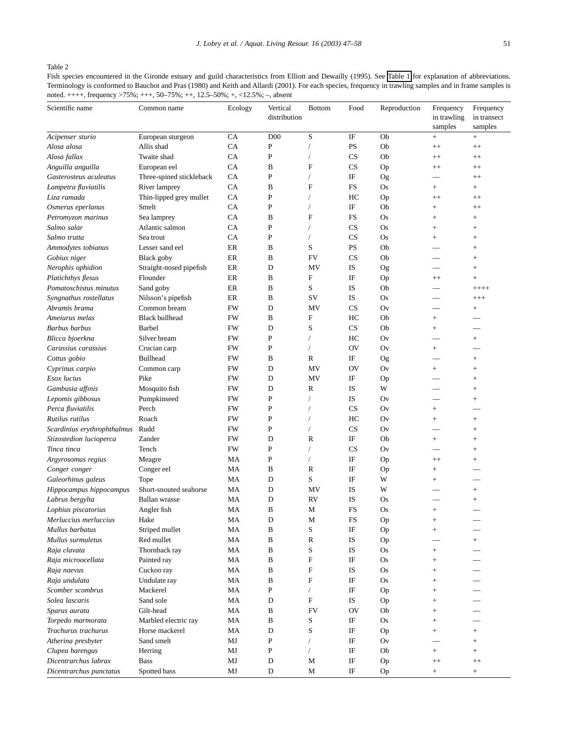# <span id="page-4-0"></span>Table 2

Fish species encountered in the Gironde estuary and guild characteristics from Elliott and Dewailly (1995). See [Table 1](#page-2-0) for explanation of abbreviations. Terminology is conformed to Bauchot and Pras (1980) and Keith and Allardi (2001). For each species, frequency in trawling samples and in frame samples is noted. ++++, frequency >75%; +++, 50–75%; ++, 12.5–50%; +, <12.5%; –, absent

| Scientific name                 | Common name                              | Ecology   | Vertical<br>distribution | <b>Bottom</b> | Food      | Reproduction | Frequency<br>in trawling | Frequency<br>in transect |
|---------------------------------|------------------------------------------|-----------|--------------------------|---------------|-----------|--------------|--------------------------|--------------------------|
|                                 |                                          | CA        | D <sub>00</sub>          |               | IF        | Ob           | samples                  | samples                  |
| Acipenser sturio<br>Alosa alosa | European sturgeon<br>Allis shad          | CA        | $\mathbf P$              | S             | <b>PS</b> | Ob           | $\boldsymbol{+}$<br>$++$ | $+$<br>$++$              |
| Alosa fallax                    | Twaite shad                              | CA        | $\mathbf P$              | $\sqrt{2}$    | CS        | Ob           |                          |                          |
| Anguilla anguilla               |                                          | CA        | B                        | F             | <b>CS</b> | Op           | $^{++}$                  | $^{++}$<br>$++$          |
| Gasterosteus aculeatus          | European eel<br>Three-spined stickleback | CA        | P                        |               | IF        |              | $^{++}$                  |                          |
| Lampetra fluviatilis            | River lamprey                            | CA        | B                        | $\mathbf F$   | FS        | Og<br>Os     |                          | $^{++}$<br>$+$           |
| Liza ramada                     | Thin-lipped grey mullet                  | CA        | ${\bf P}$                |               | HC        |              | $^{+}$<br>$^{++}$        | $++$                     |
| Osmerus eperlanus               | Smelt                                    | CA        | $\mathbf P$              |               | IF        | Op<br>Ob     |                          | $^{++}$                  |
| Petromyzon marinus              | Sea lamprey                              | CA        | B                        | $\mathbf F$   | FS        | Os           | $^{+}$                   | $\! + \!\!\!\!$          |
| Salmo salar                     | Atlantic salmon                          | CA        | $\mathbf{P}$             |               | <b>CS</b> | Os           | $^{+}$                   | $^{+}$                   |
| Salmo trutta                    | Sea trout                                | CA        | ${\bf P}$                |               | <b>CS</b> | Os           | $^{+}$                   | $^{+}$                   |
| Ammodytes tobianus              | Lesser sand eel                          | ER        | B                        | S             | <b>PS</b> | Ob           |                          | $^{+}$                   |
| Gobius niger                    | Black goby                               | ER        | B                        | FV            | <b>CS</b> | Ob           |                          | $^{+}$                   |
| Nerophis ophidion               | Straight-nosed pipefish                  | ER        | D                        | MV            | IS        |              |                          | $^{+}$                   |
|                                 | Flounder                                 | ER        | B                        | $\mathbf F$   | IF        | Og           |                          |                          |
| Platichthys flesus              |                                          | ER        | B                        |               | IS        | Op           | $^{++}$                  | $^{+}$                   |
| Pomatoschistus minutus          | Sand goby                                |           |                          | S             |           | Ob           |                          | $+++++$                  |
| Syngnathus rostellatus          | Nilsson's pipefish                       | ER        | B                        | SV            | IS        | Os           |                          | $^{+++}$                 |
| Abramis brama                   | Common bream                             | FW        | D                        | MV            | CS        | Ov           |                          | $+$                      |
| Ameiurus melas                  | <b>Black bullhead</b>                    | FW        | B                        | $\mathbf F$   | HC        | Ob           | $^{+}$                   |                          |
| Barbus barbus                   | Barbel                                   | <b>FW</b> | D                        | S             | CS        | Ob           |                          |                          |
| Blicca bjoerkna                 | Silver bream                             | FW        | $\mathbf P$              |               | HC        | Ov           |                          | $^{+}$                   |
| Carassius carassius             | Crucian carp                             | FW        | ${\bf P}$                |               | <b>OV</b> | Ov           | $\! + \!\!\!\!$          |                          |
| Cottus gobio                    | <b>Bullhead</b>                          | FW        | B                        | R             | IF        | Og           |                          |                          |
| Cyprinus carpio                 | Common carp                              | FW        | D                        | MV            | OV        | Ov           | $^{+}$                   |                          |
| Esox lucius                     | Pike                                     | FW        | D                        | MV            | IF        | Op           |                          | $^{+}$                   |
| Gambusia affinis                | Mosquito fish                            | FW        | D                        | ${\bf R}$     | IS        | W            |                          | $^{+}$                   |
| Lepomis gibbosus                | Pumpkinseed                              | FW        | P                        |               | IS        | Ov           |                          |                          |
| Perca fluviatilis               | Perch                                    | FW        | ${\bf P}$                |               | CS        | Ov           | $^{+}$                   |                          |
| Rutilus rutilus                 | Roach                                    | FW        | $\mathbf{P}$             |               | HC        | Ov           | $^{+}$                   | $^{+}$                   |
| Scardinius erythrophthalmus     | Rudd                                     | FW        | $\mathbf P$              |               | CS        | Ov           |                          | $^{+}$                   |
| Stizostedion lucioperca         | Zander                                   | <b>FW</b> | D                        | ${\bf R}$     | IF        | Ob           | $^{+}$                   | $\! + \!\!\!\!$          |
| Tinca tinca                     | Tench                                    | <b>FW</b> | $\mathbf P$              |               | <b>CS</b> | Ov           |                          | $^{+}$                   |
| Argyrosomus regius              | Meagre                                   | MA        | ${\bf P}$                |               | IF        | Op           | $^{++}$                  | $^{+}$                   |
| Conger conger                   | Conger eel                               | MA        | B                        | ${\bf R}$     | IF        | Op           | $^{+}$                   |                          |
| Galeorhinus galeus              | Tope                                     | MA        | $\mathbf D$              | S             | IF        | W            |                          |                          |
| Hippocampus hippocampus         | Short-snouted seahorse                   | MA        | D                        | MV            | IS        | W            |                          | $\! + \!\!\!\!$          |
| Labrus bergylta                 | <b>Ballan</b> wrasse                     | MA        | $\mathbf D$              | <b>RV</b>     | IS        | Os           |                          | $\! + \!\!\!\!$          |
| Lophius piscatorius             | Angler fish                              | MA        | B                        | M             | FS        | <b>Os</b>    | $\! + \!\!\!\!$          |                          |
| Merluccius merluccius           | Hake                                     | МA        | D                        | M             | FS        | Op           | $\! + \!\!\!\!$          |                          |
| Mullus barbatus                 | Striped mullet                           | MA        | B                        | $\mathbf S$   | IF        | Op           | $\boldsymbol{+}$         |                          |
| Mullus surmuletus               | Red mullet                               | MA        | B                        | ${\bf R}$     | IS        | Op           |                          | $+$                      |
| Raja clavata                    | Thornback ray                            | MA        | B                        | S             | IS        | <b>Os</b>    | $^{+}$                   |                          |
| Raja microocellata              | Painted ray                              | MA        | $\, {\bf B}$             | $\mathbf F$   | IF        | <b>Os</b>    | $^{+}$                   |                          |
| Raja naevus                     | Cuckoo ray                               | MA        | B                        | $\mathbf F$   | IS        | <b>Os</b>    | $^{+}$                   |                          |
| Raja undulata                   | Undulate ray                             | MA        | B                        | $\mathbf F$   | IF        | <b>Os</b>    | $^{+}$                   |                          |
| Scomber scombrus                | Mackerel                                 | MA        | $\, {\bf P}$             | $\sqrt{2}$    | IF        | Op           | $^{+}$                   |                          |
| Solea lascaris                  | Sand sole                                | MA        | D                        | ${\bf F}$     | <b>IS</b> | Op           | $^{+}$                   |                          |
| Sparus aurata                   | Gilt-head                                | MA        | B                        | <b>FV</b>     | <b>OV</b> | Ob           | $^{+}$                   |                          |
| Torpedo marmorata               | Marbled electric ray                     | MA        | $\, {\bf B}$             | S             | IF        | <b>Os</b>    | $\! + \!\!\!\!$          |                          |
| Trachurus trachurus             | Horse mackerel                           | MA        | D                        | S             | IF        | Op           | $^{+}$                   | $+$                      |
| Atherina presbyter              | Sand smelt                               | MJ        | $\mathbf{P}$             | $\sqrt{2}$    | IF        | Ov           |                          | $+$                      |
| Clupea harengus                 | Herring                                  | MJ        | $\, {\bf P}$             | $\sqrt{2}$    | IF        | Ob           | $+$                      | $+$                      |
| Dicentrarchus labrax            | <b>Bass</b>                              | MJ        | $\mathbf D$              | M             | IF        | Op           | $++$                     | $^{++}$                  |
| Dicentrarchus punctatus         | Spotted bass                             | MJ        | D                        | М             | IF        | Op           | $^+$                     | $+$                      |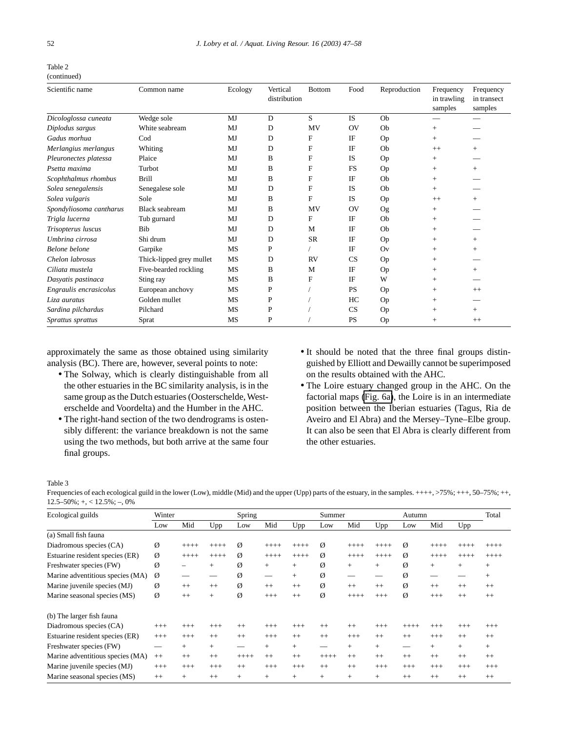<span id="page-5-0"></span>

| Table 2     |
|-------------|
| (continued) |

| Scientific name         | Common name              | Ecology | Vertical<br>distribution | <b>Bottom</b> | Food           | Reproduction | Frequency<br>in trawling<br>samples | Frequency<br>in transect<br>samples |
|-------------------------|--------------------------|---------|--------------------------|---------------|----------------|--------------|-------------------------------------|-------------------------------------|
| Dicologlossa cuneata    | Wedge sole               | MJ      | D                        | S             | <b>IS</b>      | Ob           |                                     |                                     |
| Diplodus sargus         | White seabream           | MJ      | D                        | MV            | OV             | Ob           | $+$                                 |                                     |
| Gadus morhua            | $\mathrm{Cod}$           | MJ      | D                        | F             | IF             | Op           | $+$                                 |                                     |
| Merlangius merlangus    | Whiting                  | MJ      | D                        | $\mathbf{F}$  | IF             | Ob           | $++$                                | $^{+}$                              |
| Pleuronectes platessa   | Plaice                   | MJ      | B                        | $\mathbf{F}$  | <b>IS</b>      | Op           | $+$                                 |                                     |
| Psetta maxima           | Turbot                   | MJ      | B                        | F             | <b>FS</b>      | Op           | $^{+}$                              | $^{+}$                              |
| Scophthalmus rhombus    | <b>Brill</b>             | MJ      | B                        | F             | IF             | Ob           | $^{+}$                              |                                     |
| Solea senegalensis      | Senegalese sole          | MJ      | D                        | F             | <b>IS</b>      | Ob           | $+$                                 |                                     |
| Solea vulgaris          | Sole                     | MJ      | B                        | F             | <b>IS</b>      | Op           | $++$                                | $+$                                 |
| Spondyliosoma cantharus | Black seabream           | MJ      | B                        | MV            | O <sub>V</sub> | Og           | $+$                                 |                                     |
| Trigla lucerna          | Tub gurnard              | MJ      | D                        | F             | IF             | Ob           | $+$                                 |                                     |
| Trisopterus luscus      | Bib                      | MJ      | D                        | M             | IF             | Ob           | $+$                                 |                                     |
| Umbrina cirrosa         | Shi drum                 | MJ      | D                        | <b>SR</b>     | IF             | Op           | $^{+}$                              | $^{+}$                              |
| Belone belone           | Garpike                  | MS      | P                        |               | IF             | Ov           | $+$                                 | $^{+}$                              |
| Chelon labrosus         | Thick-lipped grey mullet | MS      | D                        | <b>RV</b>     | CS             | Op           | $+$                                 |                                     |
| Ciliata mustela         | Five-bearded rockling    | MS      | B                        | M             | IF             | Op           | $+$                                 | $^{+}$                              |
| Dasyatis pastinaca      | Sting ray                | MS      | B                        | F             | IF             | W            | $+$                                 |                                     |
| Engraulis encrasicolus  | European anchovy         | MS      | P                        |               | <b>PS</b>      | Op           | $+$                                 | $++$                                |
| Liza auratus            | Golden mullet            | MS      | P                        |               | HC             | Op           | $^{+}$                              |                                     |
| Sardina pilchardus      | Pilchard                 | MS      | P                        |               | CS             | Op           | $+$                                 | $^{+}$                              |
| Sprattus sprattus       | Sprat                    | MS      | P                        |               | <b>PS</b>      | Op           | $^{+}$                              | $++$                                |

approximately the same as those obtained using similarity analysis (BC). There are, however, several points to note:

- The Solway, which is clearly distinguishable from all the other estuaries in the BC similarity analysis, is in the same group as the Dutch estuaries (Oosterschelde, Westerschelde and Voordelta) and the Humber in the AHC.
- The right-hand section of the two dendrograms is ostensibly different: the variance breakdown is not the same using the two methods, but both arrive at the same four final groups.
- It should be noted that the three final groups distinguished by Elliott and Dewailly cannot be superimposed on the results obtained with the AHC.
- The Loire estuary changed group in the AHC. On the factorial maps [\(Fig. 6a\)](#page-7-0), the Loire is in an intermediate position between the Iberian estuaries (Tagus, Ria de Aveiro and El Abra) and the Mersey–Tyne–Elbe group. It can also be seen that El Abra is clearly different from the other estuaries.

Table 3

Frequencies of each ecological guild in the lower (Low), middle (Mid) and the upper (Upp) parts of the estuary, in the samples. ++++, >75%; +++, 50–75%; +++  $12.5-50\%; +, < 12.5\%; -, 0\%$ 

| Ecological guilds                | Winter |         |        | Spring |         |         | Summer  |         |         | Autumn      |          |         | Total   |
|----------------------------------|--------|---------|--------|--------|---------|---------|---------|---------|---------|-------------|----------|---------|---------|
|                                  | Low    | Mid     | Upp    | Low    | Mid     | Upp     | Low     | Mid     | Upp     | Low         | Mid      | Upp     |         |
| (a) Small fish fauna             |        |         |        |        |         |         |         |         |         |             |          |         |         |
| Diadromous species (CA)          | Ø      | $++++$  | $++++$ | Ø      | $++++$  | $+++++$ | Ø       | $++++$  | $+++++$ | Ø           | $++++$   | $++++$  | $++++$  |
| Estuarine resident species (ER)  | Ø      | $+++++$ | $++++$ | Ø      | $++++$  | $++++$  | Ø       | $+++++$ | $++++$  | Ø           | $++++$   | $++++$  | $+++++$ |
| Freshwater species (FW)          | Ø      |         | $+$    | Ø      | $+$     | $+$     | Ø       | $^{+}$  | $^{+}$  | Ø           | $+$      | $+$     | $+$     |
| Marine adventitious species (MA) | Ø      |         |        | Ø      |         | $+$     | Ø       |         |         | Ø           |          |         | $+$     |
| Marine juvenile species (MJ)     | Ø      | $++$    | $++$   | Ø      | $++$    | $++$    | Ø       | $^{++}$ | $++$    | Ø           | $++$     | $++$    | $++$    |
| Marine seasonal species (MS)     | Ø      | $++$    | $+$    | Ø      | $+++$   | $++$    | Ø       | $++++$  | $+++$   | $\emptyset$ | $^{+++}$ | $^{++}$ | $++$    |
| (b) The larger fish fauna        |        |         |        |        |         |         |         |         |         |             |          |         |         |
| Diadromous species (CA)          | $+++$  | $+++$   | $+++$  | $++$   | $+++$   | $+++$   | $++$    | $^{++}$ | $+++$   | $+++++$     | $^{+++}$ | $+++$   | $+++$   |
| Estuarine resident species (ER)  | $+++$  | $+++$   | $++$   | $++$   | $+++$   | $++$    | $++$    | $+++$   | $++$    | $++$        | $+++$    | $++$    | $++$    |
| Freshwater species (FW)          |        | $+$     | $^{+}$ |        | $+$     | $^{+}$  |         | $^{+}$  | $^{+}$  |             | $+$      | $+$     | $+$     |
| Marine adventitious species (MA) | $++$   | $^{++}$ | $++$   | $++++$ | $^{++}$ | $++$    | $+++++$ | $^{++}$ | $++$    | $++$        | $++$     | $++$    | $++$    |
| Marine juvenile species (MJ)     | $+++$  | $+++$   | $+++$  | $++$   | $+++$   | $+++$   | $++$    | $^{++}$ | $+++$   | $+++$       | $^{+++}$ | $+++$   | $+++$   |
| Marine seasonal species (MS)     | $++$   | $+$     | $++$   | $^{+}$ | $+$     | $^{+}$  | $+$     | $^{+}$  | $^{+}$  | $++$        | $++$     | $++$    | $++$    |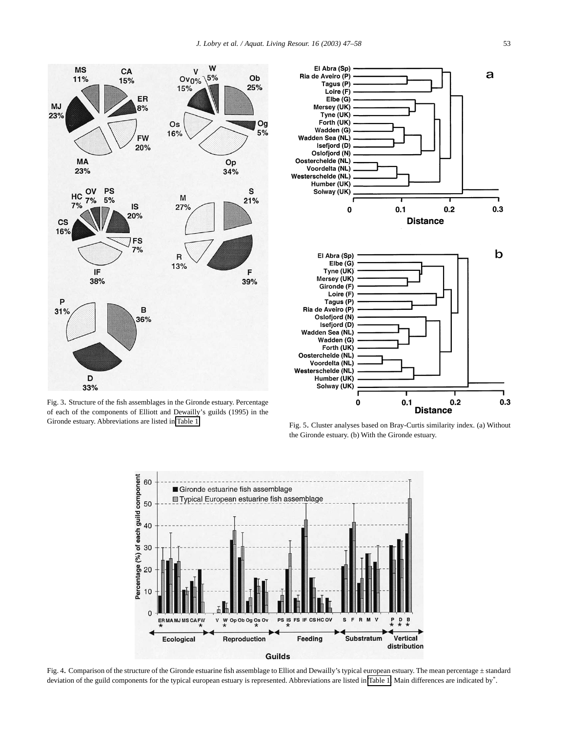El Abra (Sp)

<span id="page-6-0"></span>

Fig. 3. Structure of the fish assemblages in the Gironde estuary. Percentage of each of the components of Elliott and Dewailly's guilds (1995) in the Gironde estuary. Abbreviations are listed in [Table 1.](#page-2-0)



Fig. 5. Cluster analyses based on Bray-Curtis similarity index. (a) Without the Gironde estuary. (b) With the Gironde estuary.



Fig. 4. Comparison of the structure of the Gironde estuarine fish assemblage to Elliot and Dewailly's typical european estuary. The mean percentage ± standard deviation of the guild components for the typical european estuary is represented. Abbreviations are listed in [Table 1.](#page-2-0) Main differences are indicated by\*.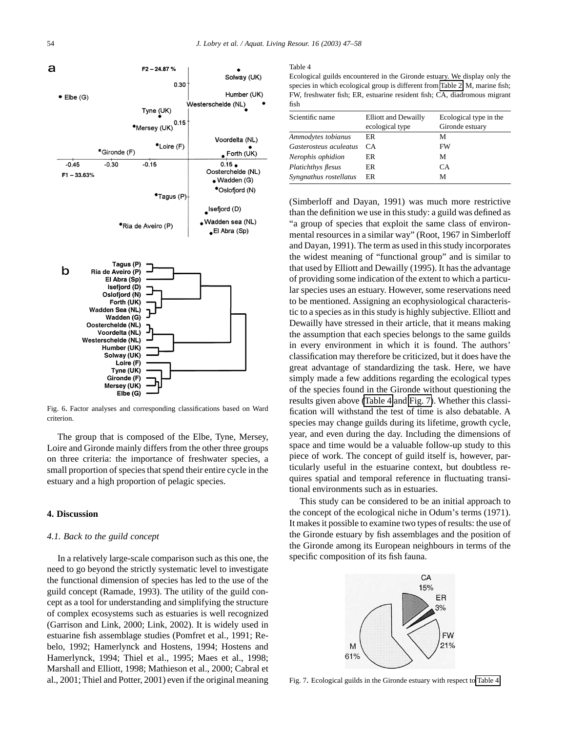<span id="page-7-0"></span>

Fig. 6. Factor analyses and corresponding classifications based on Ward criterion.

The group that is composed of the Elbe, Tyne, Mersey, Loire and Gironde mainly differs from the other three groups on three criteria: the importance of freshwater species, a small proportion of species that spend their entire cycle in the estuary and a high proportion of pelagic species.

## **4. Discussion**

## *4.1. Back to the guild concept*

In a relatively large-scale comparison such as this one, the need to go beyond the strictly systematic level to investigate the functional dimension of species has led to the use of the guild concept (Ramade, 1993). The utility of the guild concept as a tool for understanding and simplifying the structure of complex ecosystems such as estuaries is well recognized (Garrison and Link, 2000; Link, 2002). It is widely used in estuarine fish assemblage studies (Pomfret et al., 1991; Rebelo, 1992; Hamerlynck and Hostens, 1994; Hostens and Hamerlynck, 1994; Thiel et al., 1995; Maes et al., 1998; Marshall and Elliott, 1998; Mathieson et al., 2000; Cabral et al., 2001; Thiel and Potter, 2001) even if the original meaning

#### Table 4

Ecological guilds encountered in the Gironde estuary. We display only the species in which ecological group is different from [Table 2.](#page-4-0) M, marine fish; FW, freshwater fish; ER, estuarine resident fish; CA, diadromous migrant fish

| Scientific name           | <b>Elliott and Dewailly</b><br>ecological type | Ecological type in the<br>Gironde estuary |
|---------------------------|------------------------------------------------|-------------------------------------------|
| Ammodytes tobianus        | ER                                             | М                                         |
| Gasterosteus aculeatus    | CA.                                            | FW                                        |
| Nerophis ophidion         | ER                                             | М                                         |
| <b>Platichthys flesus</b> | ER                                             | CA.                                       |
| Syngnathus rostellatus    | ER                                             | м                                         |

(Simberloff and Dayan, 1991) was much more restrictive than the definition we use in this study: a guild was defined as "a group of species that exploit the same class of environmental resources in a similar way" (Root, 1967 in Simberloff and Dayan, 1991). The term as used in this study incorporates the widest meaning of "functional group" and is similar to that used by Elliott and Dewailly (1995). It has the advantage of providing some indication of the extent to which a particular species uses an estuary. However, some reservations need to be mentioned. Assigning an ecophysiological characteristic to a species as in this study is highly subjective. Elliott and Dewailly have stressed in their article, that it means making the assumption that each species belongs to the same guilds in every environment in which it is found. The authors' classification may therefore be criticized, but it does have the great advantage of standardizing the task. Here, we have simply made a few additions regarding the ecological types of the species found in the Gironde without questioning the results given above (Table 4 and Fig. 7). Whether this classification will withstand the test of time is also debatable. A species may change guilds during its lifetime, growth cycle, year, and even during the day. Including the dimensions of space and time would be a valuable follow-up study to this piece of work. The concept of guild itself is, however, particularly useful in the estuarine context, but doubtless requires spatial and temporal reference in fluctuating transitional environments such as in estuaries.

This study can be considered to be an initial approach to the concept of the ecological niche in Odum's terms (1971). It makes it possible to examine two types of results: the use of the Gironde estuary by fish assemblages and the position of the Gironde among its European neighbours in terms of the specific composition of its fish fauna.



Fig. 7. Ecological guilds in the Gironde estuary with respect to Table 4.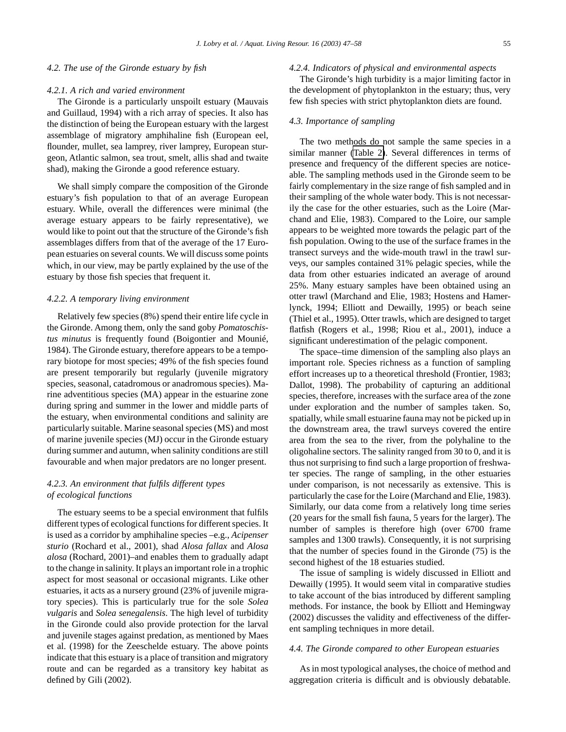#### *4.2. The use of the Gironde estuary by fish*

#### *4.2.1. A rich and varied environment*

The Gironde is a particularly unspoilt estuary (Mauvais and Guillaud, 1994) with a rich array of species. It also has the distinction of being the European estuary with the largest assemblage of migratory amphihaline fish (European eel, flounder, mullet, sea lamprey, river lamprey, European sturgeon, Atlantic salmon, sea trout, smelt, allis shad and twaite shad), making the Gironde a good reference estuary.

We shall simply compare the composition of the Gironde estuary's fish population to that of an average European estuary. While, overall the differences were minimal (the average estuary appears to be fairly representative), we would like to point out that the structure of the Gironde's fish assemblages differs from that of the average of the 17 European estuaries on several counts. We will discuss some points which, in our view, may be partly explained by the use of the estuary by those fish species that frequent it.

#### *4.2.2. A temporary living environment*

Relatively few species (8%) spend their entire life cycle in the Gironde. Among them, only the sand goby *Pomatoschistus minutus* is frequently found (Boigontier and Mounié, 1984). The Gironde estuary, therefore appears to be a temporary biotope for most species; 49% of the fish species found are present temporarily but regularly (juvenile migratory species, seasonal, catadromous or anadromous species). Marine adventitious species (MA) appear in the estuarine zone during spring and summer in the lower and middle parts of the estuary, when environmental conditions and salinity are particularly suitable. Marine seasonal species (MS) and most of marine juvenile species (MJ) occur in the Gironde estuary during summer and autumn, when salinity conditions are still favourable and when major predators are no longer present.

# *4.2.3. An environment that fulfils different types of ecological functions*

The estuary seems to be a special environment that fulfils different types of ecological functions for different species. It is used as a corridor by amphihaline species –e.g., *Acipenser sturio* (Rochard et al., 2001), shad *Alosa fallax* and *Alosa alosa* (Rochard, 2001)–and enables them to gradually adapt to the change in salinity. It plays an important role in a trophic aspect for most seasonal or occasional migrants. Like other estuaries, it acts as a nursery ground (23% of juvenile migratory species). This is particularly true for the sole *Solea vulgaris* and *Solea senegalensis*. The high level of turbidity in the Gironde could also provide protection for the larval and juvenile stages against predation, as mentioned by Maes et al. (1998) for the Zeeschelde estuary. The above points indicate that this estuary is a place of transition and migratory route and can be regarded as a transitory key habitat as defined by Gili (2002).

#### *4.2.4. Indicators of physical and environmental aspects*

The Gironde's high turbidity is a major limiting factor in the development of phytoplankton in the estuary; thus, very few fish species with strict phytoplankton diets are found.

# *4.3. Importance of sampling*

The two methods do not sample the same species in a similar manner [\(Table 2\)](#page-4-0). Several differences in terms of presence and frequency of the different species are noticeable. The sampling methods used in the Gironde seem to be fairly complementary in the size range of fish sampled and in their sampling of the whole water body. This is not necessarily the case for the other estuaries, such as the Loire (Marchand and Elie, 1983). Compared to the Loire, our sample appears to be weighted more towards the pelagic part of the fish population. Owing to the use of the surface frames in the transect surveys and the wide-mouth trawl in the trawl surveys, our samples contained 31% pelagic species, while the data from other estuaries indicated an average of around 25%. Many estuary samples have been obtained using an otter trawl (Marchand and Elie, 1983; Hostens and Hamerlynck, 1994; Elliott and Dewailly, 1995) or beach seine (Thiel et al., 1995). Otter trawls, which are designed to target flatfish (Rogers et al., 1998; Riou et al., 2001), induce a significant underestimation of the pelagic component.

The space–time dimension of the sampling also plays an important role. Species richness as a function of sampling effort increases up to a theoretical threshold (Frontier, 1983; Dallot, 1998). The probability of capturing an additional species, therefore, increases with the surface area of the zone under exploration and the number of samples taken. So, spatially, while small estuarine fauna may not be picked up in the downstream area, the trawl surveys covered the entire area from the sea to the river, from the polyhaline to the oligohaline sectors. The salinity ranged from 30 to 0, and it is thus not surprising to find such a large proportion of freshwater species. The range of sampling, in the other estuaries under comparison, is not necessarily as extensive. This is particularly the case for the Loire (Marchand and Elie, 1983). Similarly, our data come from a relatively long time series (20 years for the small fish fauna, 5 years for the larger). The number of samples is therefore high (over 6700 frame samples and 1300 trawls). Consequently, it is not surprising that the number of species found in the Gironde (75) is the second highest of the 18 estuaries studied.

The issue of sampling is widely discussed in Elliott and Dewailly (1995). It would seem vital in comparative studies to take account of the bias introduced by different sampling methods. For instance, the book by Elliott and Hemingway (2002) discusses the validity and effectiveness of the different sampling techniques in more detail.

#### *4.4. The Gironde compared to other European estuaries*

As in most typological analyses, the choice of method and aggregation criteria is difficult and is obviously debatable.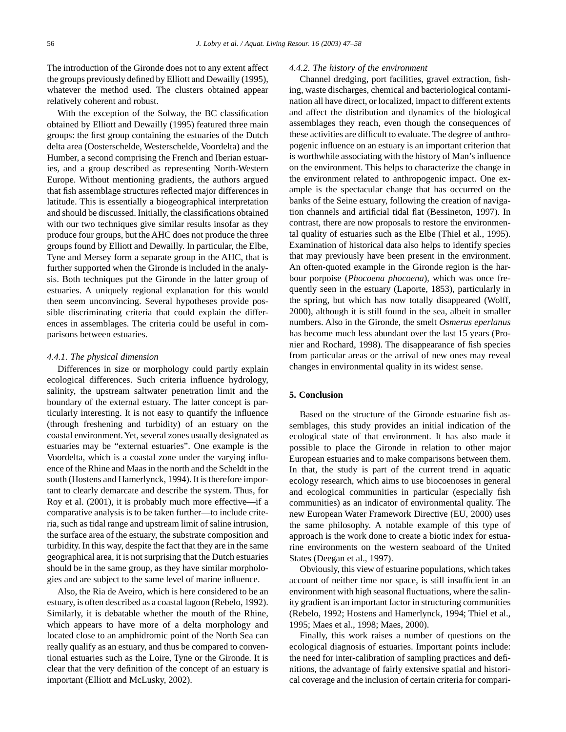The introduction of the Gironde does not to any extent affect the groups previously defined by Elliott and Dewailly (1995), whatever the method used. The clusters obtained appear relatively coherent and robust.

With the exception of the Solway, the BC classification obtained by Elliott and Dewailly (1995) featured three main groups: the first group containing the estuaries of the Dutch delta area (Oosterschelde, Westerschelde, Voordelta) and the Humber, a second comprising the French and Iberian estuaries, and a group described as representing North-Western Europe. Without mentioning gradients, the authors argued that fish assemblage structures reflected major differences in latitude. This is essentially a biogeographical interpretation and should be discussed. Initially, the classifications obtained with our two techniques give similar results insofar as they produce four groups, but the AHC does not produce the three groups found by Elliott and Dewailly. In particular, the Elbe, Tyne and Mersey form a separate group in the AHC, that is further supported when the Gironde is included in the analysis. Both techniques put the Gironde in the latter group of estuaries. A uniquely regional explanation for this would then seem unconvincing. Several hypotheses provide possible discriminating criteria that could explain the differences in assemblages. The criteria could be useful in comparisons between estuaries.

#### *4.4.1. The physical dimension*

Differences in size or morphology could partly explain ecological differences. Such criteria influence hydrology, salinity, the upstream saltwater penetration limit and the boundary of the external estuary. The latter concept is particularly interesting. It is not easy to quantify the influence (through freshening and turbidity) of an estuary on the coastal environment.Yet, several zones usually designated as estuaries may be "external estuaries". One example is the Voordelta, which is a coastal zone under the varying influence of the Rhine and Maas in the north and the Scheldt in the south (Hostens and Hamerlynck, 1994). It is therefore important to clearly demarcate and describe the system. Thus, for Roy et al. (2001), it is probably much more effective—if a comparative analysis is to be taken further—to include criteria, such as tidal range and upstream limit of saline intrusion, the surface area of the estuary, the substrate composition and turbidity. In this way, despite the fact that they are in the same geographical area, it is not surprising that the Dutch estuaries should be in the same group, as they have similar morphologies and are subject to the same level of marine influence.

Also, the Ria de Aveiro, which is here considered to be an estuary, is often described as a coastal lagoon (Rebelo, 1992). Similarly, it is debatable whether the mouth of the Rhine, which appears to have more of a delta morphology and located close to an amphidromic point of the North Sea can really qualify as an estuary, and thus be compared to conventional estuaries such as the Loire, Tyne or the Gironde. It is clear that the very definition of the concept of an estuary is important (Elliott and McLusky, 2002).

#### *4.4.2. The history of the environment*

Channel dredging, port facilities, gravel extraction, fishing, waste discharges, chemical and bacteriological contamination all have direct, or localized, impact to different extents and affect the distribution and dynamics of the biological assemblages they reach, even though the consequences of these activities are difficult to evaluate. The degree of anthropogenic influence on an estuary is an important criterion that is worthwhile associating with the history of Man's influence on the environment. This helps to characterize the change in the environment related to anthropogenic impact. One example is the spectacular change that has occurred on the banks of the Seine estuary, following the creation of navigation channels and artificial tidal flat (Bessineton, 1997). In contrast, there are now proposals to restore the environmental quality of estuaries such as the Elbe (Thiel et al., 1995). Examination of historical data also helps to identify species that may previously have been present in the environment. An often-quoted example in the Gironde region is the harbour porpoise (*Phocoena phocoena*), which was once frequently seen in the estuary (Laporte, 1853), particularly in the spring, but which has now totally disappeared (Wolff, 2000), although it is still found in the sea, albeit in smaller numbers. Also in the Gironde, the smelt *Osmerus eperlanus* has become much less abundant over the last 15 years (Pronier and Rochard, 1998). The disappearance of fish species from particular areas or the arrival of new ones may reveal changes in environmental quality in its widest sense.

# **5. Conclusion**

Based on the structure of the Gironde estuarine fish assemblages, this study provides an initial indication of the ecological state of that environment. It has also made it possible to place the Gironde in relation to other major European estuaries and to make comparisons between them. In that, the study is part of the current trend in aquatic ecology research, which aims to use biocoenoses in general and ecological communities in particular (especially fish communities) as an indicator of environmental quality. The new European Water Framework Directive (EU, 2000) uses the same philosophy. A notable example of this type of approach is the work done to create a biotic index for estuarine environments on the western seaboard of the United States (Deegan et al., 1997).

Obviously, this view of estuarine populations, which takes account of neither time nor space, is still insufficient in an environment with high seasonal fluctuations, where the salinity gradient is an important factor in structuring communities (Rebelo, 1992; Hostens and Hamerlynck, 1994; Thiel et al., 1995; Maes et al., 1998; Maes, 2000).

Finally, this work raises a number of questions on the ecological diagnosis of estuaries. Important points include: the need for inter-calibration of sampling practices and definitions, the advantage of fairly extensive spatial and historical coverage and the inclusion of certain criteria for compari-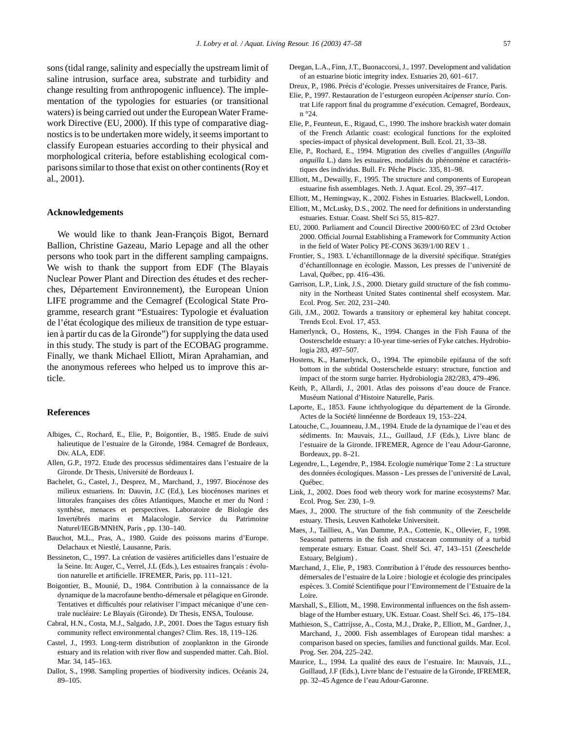sons (tidal range, salinity and especially the upstream limit of saline intrusion, surface area, substrate and turbidity and change resulting from anthropogenic influence). The implementation of the typologies for estuaries (or transitional waters) is being carried out under the European Water Framework Directive (EU, 2000). If this type of comparative diagnostics is to be undertaken more widely, it seems important to classify European estuaries according to their physical and morphological criteria, before establishing ecological comparisons similar to those that exist on other continents (Roy et al., 2001).

# **Acknowledgements**

We would like to thank Jean-François Bigot, Bernard Ballion, Christine Gazeau, Mario Lepage and all the other persons who took part in the different sampling campaigns. We wish to thank the support from EDF (The Blayais Nuclear Power Plant and Direction des études et des recherches, Département Environnement), the European Union LIFE programme and the Cemagref (Ecological State Programme, research grant "Estuaires: Typologie et évaluation de l'état écologique des milieux de transition de type estuarien à partir du cas de la Gironde") for supplying the data used in this study. The study is part of the ECOBAG programme. Finally, we thank Michael Elliott, Miran Aprahamian, and the anonymous referees who helped us to improve this article.

# **References**

- Albiges, C., Rochard, E., Elie, P., Boigontier, B., 1985. Etude de suivi halieutique de l'estuaire de la Gironde, 1984. Cemagref de Bordeaux, Div. ALA, EDF.
- Allen, G.P., 1972. Etude des processus sédimentaires dans l'estuaire de la Gironde. Dr Thesis, Université de Bordeaux I.
- Bachelet, G., Castel, J., Desprez, M., Marchand, J., 1997. Biocénose des milieux estuariens. In: Dauvin, J.C (Ed.), Les biocénoses marines et littorales françaises des côtes Atlantiques, Manche et mer du Nord : synthèse, menaces et perspectives. Laboratoire de Biologie des Invertébrés marins et Malacologie. Service du Patrimoine Naturel/IEGB/MNHN, Paris , pp. 130–140.
- Bauchot, M.L., Pras, A., 1980. Guide des poissons marins d'Europe. Delachaux et Niestlé, Lausanne, Paris.
- Bessineton, C., 1997. La création de vasières artificielles dans l'estuaire de la Seine. In: Auger, C., Verrel, J.L (Eds.), Les estuaires français : évolution naturelle et artificielle. IFREMER, Paris, pp. 111–121.
- Boigontier, B., Mounié, D., 1984. Contribution à la connaissance de la dynamique de la macrofaune bentho-démersale et pélagique en Gironde. Tentatives et difficultés pour relativiser l'impact mécanique d'une centrale nucléaire: Le Blayais (Gironde). Dr Thesis, ENSA, Toulouse.
- Cabral, H.N., Costa, M.J., Salgado, J.P., 2001. Does the Tagus estuary fish community reflect environmental changes? Clim. Res. 18, 119–126.
- Castel, J., 1993. Long-term distribution of zooplankton in the Gironde estuary and its relation with river flow and suspended matter. Cah. Biol. Mar. 34, 145–163.
- Dallot, S., 1998. Sampling properties of biodiversity indices. Océanis 24, 89–105.
- Deegan, L.A., Finn, J.T., Buonaccorsi, J., 1997. Development and validation of an estuarine biotic integrity index. Estuaries 20, 601–617.
- Dreux, P., 1986. Précis d'écologie. Presses universitaires de France, Paris.
- Elie, P., 1997. Restauration de l'esturgeon européen *Acipenser sturio*. Contrat Life rapport final du programme d'exécution. Cemagref, Bordeaux, n °24.
- Elie, P., Feunteun, E., Rigaud, C., 1990. The inshore brackish water domain of the French Atlantic coast: ecological functions for the exploited species-impact of physical development. Bull. Ecol. 21, 33–38.
- Elie, P., Rochard, E., 1994. Migration des civelles d'anguilles (*Anguilla anguilla* L.) dans les estuaires, modalités du phénomène et caractéristiques des individus. Bull. Fr. Pêche Piscic. 335, 81–98.
- Elliott, M., Dewailly, F., 1995. The structure and components of European estuarine fish assemblages. Neth. J. Aquat. Ecol. 29, 397–417.
- Elliott, M., Hemingway, K., 2002. Fishes in Estuaries. Blackwell, London.
- Elliott, M., McLusky, D.S., 2002. The need for definitions in understanding estuaries. Estuar. Coast. Shelf Sci 55, 815–827.
- EU, 2000. Parliament and Council Directive 2000/60/EC of 23rd October 2000. Official Journal Establishing a Framework for Community Action in the field of Water Policy PE-CONS 3639/1/00 REV 1 .
- Frontier, S., 1983. L'échantillonnage de la diversité spécifique. Stratégies d'échantillonnage en écologie. Masson, Les presses de l'université de Laval, Québec, pp. 416–436.
- Garrison, L.P., Link, J.S., 2000. Dietary guild structure of the fish community in the Northeast United States continental shelf ecosystem. Mar. Ecol. Prog. Ser. 202, 231–240.
- Gili, J.M., 2002. Towards a transitory or ephemeral key habitat concept. Trends Ecol. Evol. 17, 453.
- Hamerlynck, O., Hostens, K., 1994. Changes in the Fish Fauna of the Oosterschelde estuary: a 10-year time-series of Fyke catches. Hydrobiologia 283, 497–507.
- Hostens, K., Hamerlynck, O., 1994. The epimobile epifauna of the soft bottom in the subtidal Oosterschelde estuary: structure, function and impact of the storm surge barrier. Hydrobiologia 282/283, 479–496.
- Keith, P., Allardi, J., 2001. Atlas des poissons d'eau douce de France. Muséum National d'Histoire Naturelle, Paris.
- Laporte, E., 1853. Faune ichthyologique du département de la Gironde. Actes de la Société linnéenne de Bordeaux 19, 153–224.
- Latouche, C., Jouanneau, J.M., 1994. Etude de la dynamique de l'eau et des sédiments. In: Mauvais, J.L., Guillaud, J.F (Eds.), Livre blanc de l'estuaire de la Gironde. IFREMER, Agence de l'eau Adour-Garonne, Bordeaux, pp. 8–21.
- Legendre, L., Legendre, P., 1984. Ecologie numérique Tome 2 : La structure des données écologiques. Masson - Les presses de l'université de Laval, Québec.
- Link, J., 2002. Does food web theory work for marine ecosystems? Mar. Ecol. Prog. Ser. 230, 1–9.
- Maes, J., 2000. The structure of the fish community of the Zeeschelde estuary. Thesis, Leuven Katholeke Universiteit.
- Maes, J., Taillieu, A., Van Damme, P.A., Cottenie, K., Ollevier, F., 1998. Seasonal patterns in the fish and crustacean community of a turbid temperate estuary. Estuar. Coast. Shelf Sci. 47, 143–151 (Zeeschelde Estuary, Belgium) .
- Marchand, J., Elie, P., 1983. Contribution à l'étude des ressources benthodémersales de l'estuaire de la Loire : biologie et écologie des principales espèces. 3. Comité Scientifique pour l'Environnement de l'Estuaire de la Loire.
- Marshall, S., Elliott, M., 1998. Environmental influences on the fish assemblage of the Humber estuary, UK. Estuar. Coast. Shelf Sci. 46, 175–184.
- Mathieson, S., Cattrijsse, A., Costa, M.J., Drake, P., Elliott, M., Gardner, J., Marchand, J., 2000. Fish assemblages of European tidal marshes: a comparison based on species, families and functional guilds. Mar. Ecol. Prog. Ser. 204, 225–242.
- Maurice, L., 1994. La qualité des eaux de l'estuaire. In: Mauvais, J.L., Guillaud, J.F (Eds.), Livre blanc de l'estuaire de la Gironde, IFREMER, pp. 32–45 Agence de l'eau Adour-Garonne.